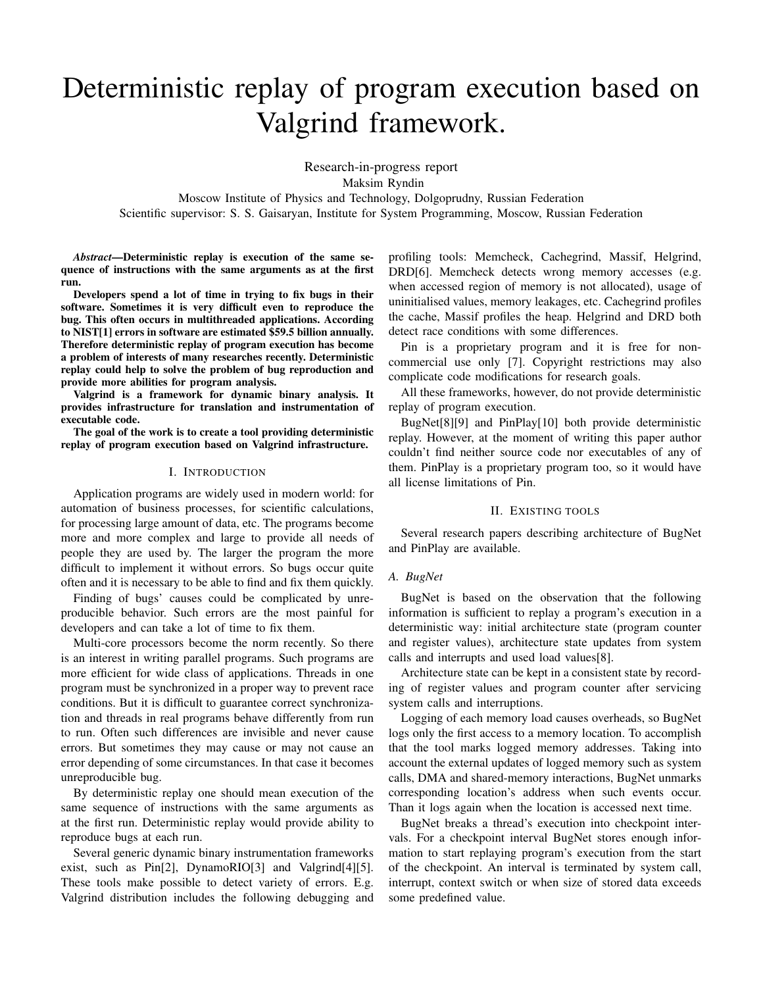# Deterministic replay of program execution based on Valgrind framework.

Research-in-progress report

Maksim Ryndin

Moscow Institute of Physics and Technology, Dolgoprudny, Russian Federation

Scientific supervisor: S. S. Gaisaryan, Institute for System Programming, Moscow, Russian Federation

*Abstract*—Deterministic replay is execution of the same sequence of instructions with the same arguments as at the first run.

Developers spend a lot of time in trying to fix bugs in their software. Sometimes it is very difficult even to reproduce the bug. This often occurs in multithreaded applications. According to NIST[1] errors in software are estimated \$59.5 billion annually. Therefore deterministic replay of program execution has become a problem of interests of many researches recently. Deterministic replay could help to solve the problem of bug reproduction and provide more abilities for program analysis.

Valgrind is a framework for dynamic binary analysis. It provides infrastructure for translation and instrumentation of executable code.

The goal of the work is to create a tool providing deterministic replay of program execution based on Valgrind infrastructure.

#### I. INTRODUCTION

Application programs are widely used in modern world: for automation of business processes, for scientific calculations, for processing large amount of data, etc. The programs become more and more complex and large to provide all needs of people they are used by. The larger the program the more difficult to implement it without errors. So bugs occur quite often and it is necessary to be able to find and fix them quickly.

Finding of bugs' causes could be complicated by unreproducible behavior. Such errors are the most painful for developers and can take a lot of time to fix them.

Multi-core processors become the norm recently. So there is an interest in writing parallel programs. Such programs are more efficient for wide class of applications. Threads in one program must be synchronized in a proper way to prevent race conditions. But it is difficult to guarantee correct synchronization and threads in real programs behave differently from run to run. Often such differences are invisible and never cause errors. But sometimes they may cause or may not cause an error depending of some circumstances. In that case it becomes unreproducible bug.

By deterministic replay one should mean execution of the same sequence of instructions with the same arguments as at the first run. Deterministic replay would provide ability to reproduce bugs at each run.

Several generic dynamic binary instrumentation frameworks exist, such as Pin[2], DynamoRIO[3] and Valgrind[4][5]. These tools make possible to detect variety of errors. E.g. Valgrind distribution includes the following debugging and

profiling tools: Memcheck, Cachegrind, Massif, Helgrind, DRD[6]. Memcheck detects wrong memory accesses (e.g. when accessed region of memory is not allocated), usage of uninitialised values, memory leakages, etc. Cachegrind profiles the cache, Massif profiles the heap. Helgrind and DRD both detect race conditions with some differences.

Pin is a proprietary program and it is free for noncommercial use only [7]. Copyright restrictions may also complicate code modifications for research goals.

All these frameworks, however, do not provide deterministic replay of program execution.

BugNet[8][9] and PinPlay[10] both provide deterministic replay. However, at the moment of writing this paper author couldn't find neither source code nor executables of any of them. PinPlay is a proprietary program too, so it would have all license limitations of Pin.

#### II. EXISTING TOOLS

Several research papers describing architecture of BugNet and PinPlay are available.

#### *A. BugNet*

BugNet is based on the observation that the following information is sufficient to replay a program's execution in a deterministic way: initial architecture state (program counter and register values), architecture state updates from system calls and interrupts and used load values[8].

Architecture state can be kept in a consistent state by recording of register values and program counter after servicing system calls and interruptions.

Logging of each memory load causes overheads, so BugNet logs only the first access to a memory location. To accomplish that the tool marks logged memory addresses. Taking into account the external updates of logged memory such as system calls, DMA and shared-memory interactions, BugNet unmarks corresponding location's address when such events occur. Than it logs again when the location is accessed next time.

BugNet breaks a thread's execution into checkpoint intervals. For a checkpoint interval BugNet stores enough information to start replaying program's execution from the start of the checkpoint. An interval is terminated by system call, interrupt, context switch or when size of stored data exceeds some predefined value.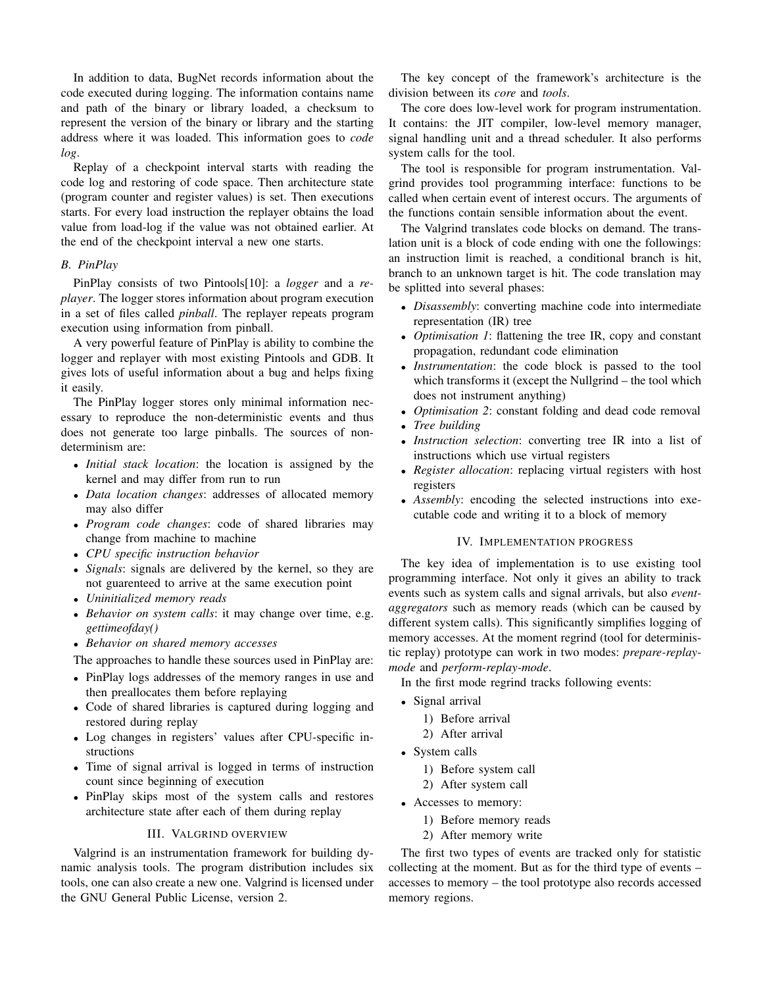In addition to data, BugNet records information about the code executed during logging. The information contains name and path of the binary or library loaded, a checksum to represent the version of the binary or library and the starting address where it was loaded. This information goes to *code log*.

Replay of a checkpoint interval starts with reading the code log and restoring of code space. Then architecture state (program counter and register values) is set. Then executions starts. For every load instruction the replayer obtains the load value from load-log if the value was not obtained earlier. At the end of the checkpoint interval a new one starts.

# *B. PinPlay*

PinPlay consists of two Pintools[10]: a *logger* and a *replayer*. The logger stores information about program execution in a set of files called *pinball*. The replayer repeats program execution using information from pinball.

A very powerful feature of PinPlay is ability to combine the logger and replayer with most existing Pintools and GDB. It gives lots of useful information about a bug and helps fixing it easily.

The PinPlay logger stores only minimal information necessary to reproduce the non-deterministic events and thus does not generate too large pinballs. The sources of nondeterminism are:

- *Initial stack location*: the location is assigned by the kernel and may differ from run to run
- *Data location changes*: addresses of allocated memory may also differ
- *Program code changes*: code of shared libraries may change from machine to machine
- *CPU specific instruction behavior*
- *Signals*: signals are delivered by the kernel, so they are not guarenteed to arrive at the same execution point
- *Uninitialized memory reads*
- *Behavior on system calls*: it may change over time, e.g. *gettimeofday()*
- *Behavior on shared memory accesses*

The approaches to handle these sources used in PinPlay are:

- PinPlay logs addresses of the memory ranges in use and then preallocates them before replaying
- Code of shared libraries is captured during logging and restored during replay
- Log changes in registers' values after CPU-specific instructions
- Time of signal arrival is logged in terms of instruction count since beginning of execution
- PinPlay skips most of the system calls and restores architecture state after each of them during replay

#### III. VALGRIND OVERVIEW

Valgrind is an instrumentation framework for building dynamic analysis tools. The program distribution includes six tools, one can also create a new one. Valgrind is licensed under the GNU General Public License, version 2.

The key concept of the framework's architecture is the division between its *core* and *tools*.

The core does low-level work for program instrumentation. It contains: the JIT compiler, low-level memory manager, signal handling unit and a thread scheduler. It also performs system calls for the tool.

The tool is responsible for program instrumentation. Valgrind provides tool programming interface: functions to be called when certain event of interest occurs. The arguments of the functions contain sensible information about the event.

The Valgrind translates code blocks on demand. The translation unit is a block of code ending with one the followings: an instruction limit is reached, a conditional branch is hit, branch to an unknown target is hit. The code translation may be splitted into several phases:

- *Disassembly*: converting machine code into intermediate representation (IR) tree
- *Optimisation 1*: flattening the tree IR, copy and constant propagation, redundant code elimination
- *Instrumentation*: the code block is passed to the tool which transforms it (except the Nullgrind – the tool which does not instrument anything)
- *Optimisation 2*: constant folding and dead code removal
- *Tree building*
- *Instruction selection*: converting tree IR into a list of instructions which use virtual registers
- *Register allocation*: replacing virtual registers with host registers
- *Assembly*: encoding the selected instructions into executable code and writing it to a block of memory

#### IV. IMPLEMENTATION PROGRESS

The key idea of implementation is to use existing tool programming interface. Not only it gives an ability to track events such as system calls and signal arrivals, but also *eventaggregators* such as memory reads (which can be caused by different system calls). This significantly simplifies logging of memory accesses. At the moment regrind (tool for deterministic replay) prototype can work in two modes: *prepare-replaymode* and *perform-replay-mode*.

In the first mode regrind tracks following events:

- Signal arrival
	- 1) Before arrival
	- 2) After arrival
- System calls
	- 1) Before system call
	- 2) After system call
- Accesses to memory:
	- 1) Before memory reads
	- 2) After memory write

The first two types of events are tracked only for statistic collecting at the moment. But as for the third type of events – accesses to memory – the tool prototype also records accessed memory regions.